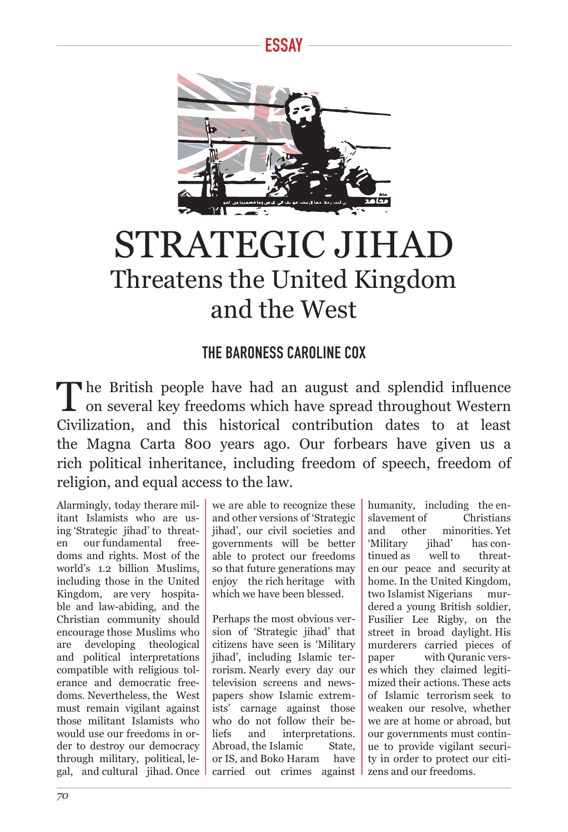



## **STRATEGIC JIHAD** Threatens the United Kingdom and the West

## THE BARONESS CAROLINE COX

The British people have had an august and splendid influence<br>on several key freedoms which have spread throughout Western Civilization, and this historical contribution dates to at least the Magna Carta 800 years ago. Our forbears have given us a rich political inheritance, including freedom of speech, freedom of religion, and equal access to the law.

Alarmingly, today therare militant Islamists who are using 'Strategic jihad' to threaten our fundamental freedoms and rights. Most of the world's 1.2 billion Muslims. including those in the United Kingdom, are very hospitable and law-abiding, and the Christian community should encourage those Muslims who developing theological are and political interpretations compatible with religious tolerance and democratic freedoms. Nevertheless, the West must remain vigilant against those militant Islamists who would use our freedoms in order to destroy our democracy through military, political, legal, and cultural jihad. Once

we are able to recognize these and other versions of 'Strategic jihad', our civil societies and governments will be better able to protect our freedoms so that future generations may enjoy the rich heritage with which we have been blessed.

Perhaps the most obvious version of 'Strategic jihad' that citizens have seen is 'Military jihad', including Islamic terrorism. Nearly every day our television screens and newspapers show Islamic extremists' carnage against those who do not follow their be*liefs* and interpretations. Abroad, the Islamic State. or IS, and Boko Haram have carried out crimes against humanity, including the enslavement of Christians and other minorities. Yet 'Military iihad' has continued as well to threaten our peace and security at home. In the United Kingdom, two Islamist Nigerians murdered a young British soldier, Fusilier Lee Rigby, on the street in broad daylight. His murderers carried pieces of paper with Quranic verses which they claimed legitimized their actions. These acts of Islamic terrorism seek to weaken our resolve, whether we are at home or abroad, but our governments must continue to provide vigilant security in order to protect our citizens and our freedoms.